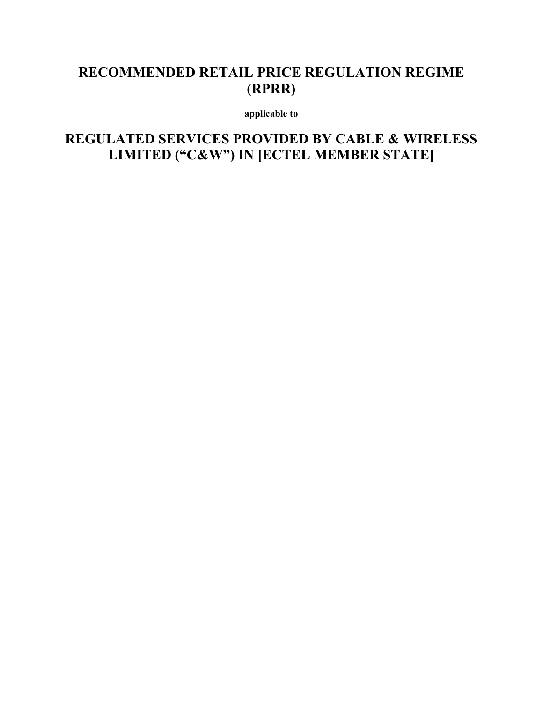# **RECOMMENDED RETAIL PRICE REGULATION REGIME (RPRR)**

**applicable to** 

**REGULATED SERVICES PROVIDED BY CABLE & WIRELESS LIMITED ("C&W") IN [ECTEL MEMBER STATE]**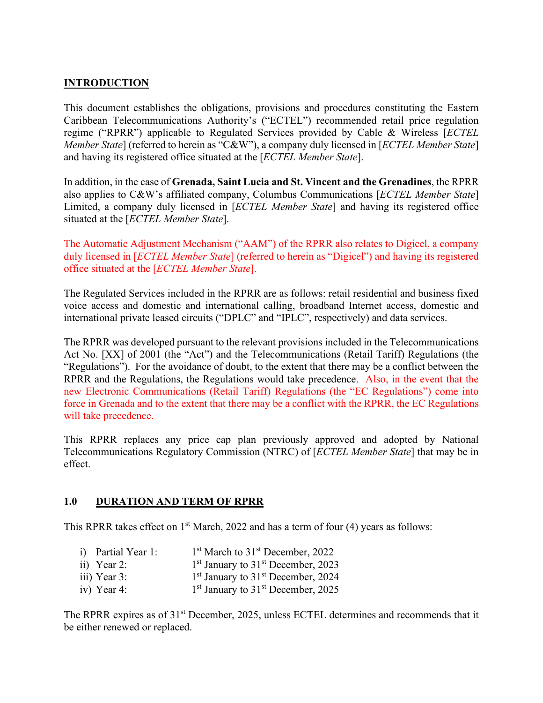# **INTRODUCTION**

This document establishes the obligations, provisions and procedures constituting the Eastern Caribbean Telecommunications Authority's ("ECTEL") recommended retail price regulation regime ("RPRR") applicable to Regulated Services provided by Cable & Wireless [*ECTEL Member State*] (referred to herein as "C&W"), a company duly licensed in [*ECTEL Member State*] and having its registered office situated at the [*ECTEL Member State*].

In addition, in the case of **Grenada, Saint Lucia and St. Vincent and the Grenadines**, the RPRR also applies to C&W's affiliated company, Columbus Communications [*ECTEL Member State*] Limited, a company duly licensed in [*ECTEL Member State*] and having its registered office situated at the [*ECTEL Member State*].

The Automatic Adjustment Mechanism ("AAM") of the RPRR also relates to Digicel, a company duly licensed in [*ECTEL Member State*] (referred to herein as "Digicel") and having its registered office situated at the [*ECTEL Member State*].

The Regulated Services included in the RPRR are as follows: retail residential and business fixed voice access and domestic and international calling, broadband Internet access, domestic and international private leased circuits ("DPLC" and "IPLC", respectively) and data services.

The RPRR was developed pursuant to the relevant provisions included in the Telecommunications Act No. [XX] of 2001 (the "Act") and the Telecommunications (Retail Tariff) Regulations (the "Regulations"). For the avoidance of doubt, to the extent that there may be a conflict between the RPRR and the Regulations, the Regulations would take precedence. Also, in the event that the new Electronic Communications (Retail Tariff) Regulations (the "EC Regulations") come into force in Grenada and to the extent that there may be a conflict with the RPRR, the EC Regulations will take precedence.

This RPRR replaces any price cap plan previously approved and adopted by National Telecommunications Regulatory Commission (NTRC) of [*ECTEL Member State*] that may be in effect.

## **1.0 DURATION AND TERM OF RPRR**

This RPRR takes effect on  $1<sup>st</sup> March, 2022$  and has a term of four (4) years as follows:

- i) Partial Year 1:  $1<sup>st</sup> March to 31<sup>st</sup> December, 2022$
- ii) Year 2:  $1<sup>st</sup>$  January to  $31<sup>st</sup>$  December, 2023
- iii) Year 3:  $1<sup>st</sup> January to 31<sup>st</sup> December, 2024$
- iv) Year 4:  $1<sup>st</sup>$  January to  $31<sup>st</sup>$  December, 2025

The RPRR expires as of 31<sup>st</sup> December, 2025, unless ECTEL determines and recommends that it be either renewed or replaced.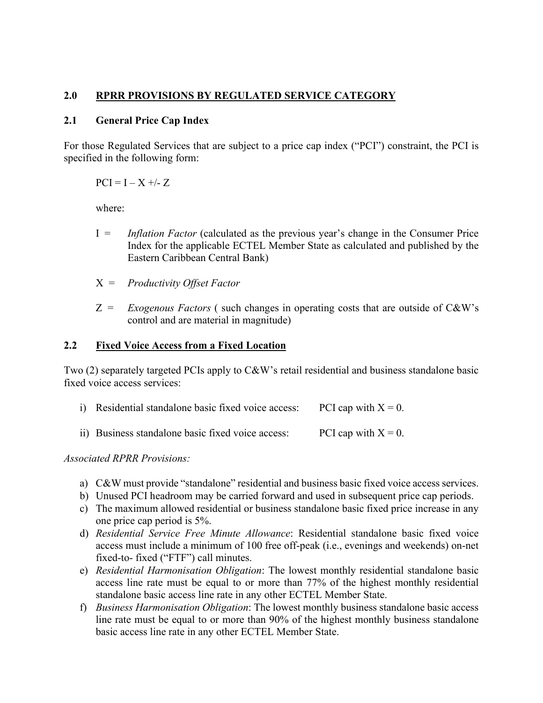## **2.0 RPRR PROVISIONS BY REGULATED SERVICE CATEGORY**

#### **2.1 General Price Cap Index**

For those Regulated Services that are subject to a price cap index ("PCI") constraint, the PCI is specified in the following form:

 $PCI = I - X +/- Z$ 

where:

- I = *Inflation Factor* (calculated as the previous year's change in the Consumer Price Index for the applicable ECTEL Member State as calculated and published by the Eastern Caribbean Central Bank)
- X = *Productivity Offset Factor*
- Z = *Exogenous Factors* ( such changes in operating costs that are outside of C&W's control and are material in magnitude)

#### **2.2 Fixed Voice Access from a Fixed Location**

Two (2) separately targeted PCIs apply to C&W's retail residential and business standalone basic fixed voice access services:

| i) Residential standalone basic fixed voice access: | PCI cap with $X = 0$ . |
|-----------------------------------------------------|------------------------|
|-----------------------------------------------------|------------------------|

ii) Business standalone basic fixed voice access: PCI cap with  $X = 0$ .

*Associated RPRR Provisions:*

- a) C&W must provide "standalone" residential and business basic fixed voice access services.
- b) Unused PCI headroom may be carried forward and used in subsequent price cap periods.
- c) The maximum allowed residential or business standalone basic fixed price increase in any one price cap period is 5%.
- d) *Residential Service Free Minute Allowance*: Residential standalone basic fixed voice access must include a minimum of 100 free off-peak (i.e., evenings and weekends) on-net fixed-to- fixed ("FTF") call minutes.
- e) *Residential Harmonisation Obligation*: The lowest monthly residential standalone basic access line rate must be equal to or more than 77% of the highest monthly residential standalone basic access line rate in any other ECTEL Member State.
- f) *Business Harmonisation Obligation*: The lowest monthly business standalone basic access line rate must be equal to or more than 90% of the highest monthly business standalone basic access line rate in any other ECTEL Member State.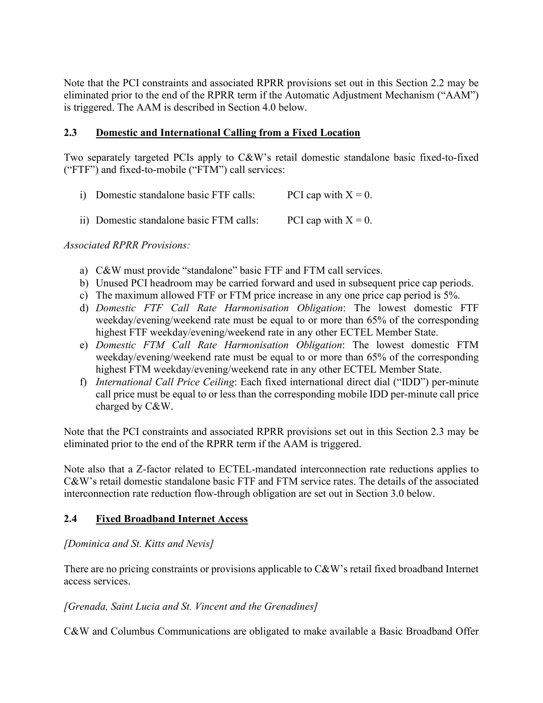Note that the PCI constraints and associated RPRR provisions set out in this Section 2.2 may be eliminated prior to the end of the RPRR term if the Automatic Adjustment Mechanism ("AAM") is triggered. The AAM is described in Section 4.0 below.

## **2.3 Domestic and International Calling from a Fixed Location**

Two separately targeted PCIs apply to C&W's retail domestic standalone basic fixed-to-fixed ("FTF") and fixed-to-mobile ("FTM") call services:

| i) Domestic standalone basic FTF calls:  | PCI cap with $X = 0$ . |
|------------------------------------------|------------------------|
| ii) Domestic standalone basic FTM calls: | PCI cap with $X = 0$ . |

*Associated RPRR Provisions:*

- a) C&W must provide "standalone" basic FTF and FTM call services.
- b) Unused PCI headroom may be carried forward and used in subsequent price cap periods.
- c) The maximum allowed FTF or FTM price increase in any one price cap period is 5%.
- d) *Domestic FTF Call Rate Harmonisation Obligation*: The lowest domestic FTF weekday/evening/weekend rate must be equal to or more than 65% of the corresponding highest FTF weekday/evening/weekend rate in any other ECTEL Member State.
- e) *Domestic FTM Call Rate Harmonisation Obligation*: The lowest domestic FTM weekday/evening/weekend rate must be equal to or more than 65% of the corresponding highest FTM weekday/evening/weekend rate in any other ECTEL Member State.
- f) *International Call Price Ceiling*: Each fixed international direct dial ("IDD") per-minute call price must be equal to or less than the corresponding mobile IDD per-minute call price charged by C&W.

Note that the PCI constraints and associated RPRR provisions set out in this Section 2.3 may be eliminated prior to the end of the RPRR term if the AAM is triggered.

Note also that a Z-factor related to ECTEL-mandated interconnection rate reductions applies to C&W's retail domestic standalone basic FTF and FTM service rates. The details of the associated interconnection rate reduction flow-through obligation are set out in Section 3.0 below.

## **2.4 Fixed Broadband Internet Access**

## *[Dominica and St. Kitts and Nevis]*

There are no pricing constraints or provisions applicable to C&W's retail fixed broadband Internet access services.

## *[Grenada, Saint Lucia and St. Vincent and the Grenadines]*

C&W and Columbus Communications are obligated to make available a Basic Broadband Offer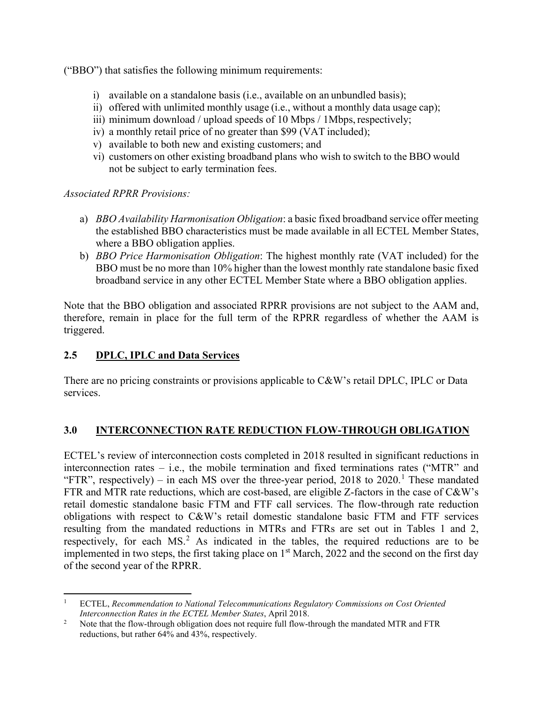("BBO") that satisfies the following minimum requirements:

- i) available on a standalone basis (i.e., available on an unbundled basis);
- ii) offered with unlimited monthly usage (i.e., without a monthly data usage cap);
- iii) minimum download / upload speeds of 10 Mbps / 1Mbps, respectively;
- iv) a monthly retail price of no greater than \$99 (VAT included);
- v) available to both new and existing customers; and
- vi) customers on other existing broadband plans who wish to switch to the BBO would not be subject to early termination fees.

*Associated RPRR Provisions:*

- a) *BBO Availability Harmonisation Obligation*: a basic fixed broadband service offer meeting the established BBO characteristics must be made available in all ECTEL Member States, where a BBO obligation applies.
- b) *BBO Price Harmonisation Obligation*: The highest monthly rate (VAT included) for the BBO must be no more than 10% higher than the lowest monthly rate standalone basic fixed broadband service in any other ECTEL Member State where a BBO obligation applies.

Note that the BBO obligation and associated RPRR provisions are not subject to the AAM and, therefore, remain in place for the full term of the RPRR regardless of whether the AAM is triggered.

## **2.5 DPLC, IPLC and Data Services**

There are no pricing constraints or provisions applicable to C&W's retail DPLC, IPLC or Data services.

## **3.0 INTERCONNECTION RATE REDUCTION FLOW-THROUGH OBLIGATION**

ECTEL's review of interconnection costs completed in 2018 resulted in significant reductions in interconnection rates – i.e., the mobile termination and fixed terminations rates ("MTR" and "FTR", respectively) – in each MS over the three-year period,  $2018$  $2018$  $2018$  to  $2020$ .<sup>1</sup> These mandated FTR and MTR rate reductions, which are cost-based, are eligible Z-factors in the case of C&W's retail domestic standalone basic FTM and FTF call services. The flow-through rate reduction obligations with respect to C&W's retail domestic standalone basic FTM and FTF services resulting from the mandated reductions in MTRs and FTRs are set out in Tables 1 and 2, respectively, for each  $MS<sup>2</sup>$  $MS<sup>2</sup>$  $MS<sup>2</sup>$ . As indicated in the tables, the required reductions are to be implemented in two steps, the first taking place on  $1<sup>st</sup>$  March, 2022 and the second on the first day of the second year of the RPRR.

<span id="page-4-0"></span><sup>1</sup> ECTEL, *Recommendation to National Telecommunications Regulatory Commissions on Cost Oriented Interconnection Rates in the ECTEL Member States*, April 2018.

<span id="page-4-1"></span><sup>&</sup>lt;sup>2</sup> Note that the flow-through obligation does not require full flow-through the mandated MTR and FTR reductions, but rather 64% and 43%, respectively.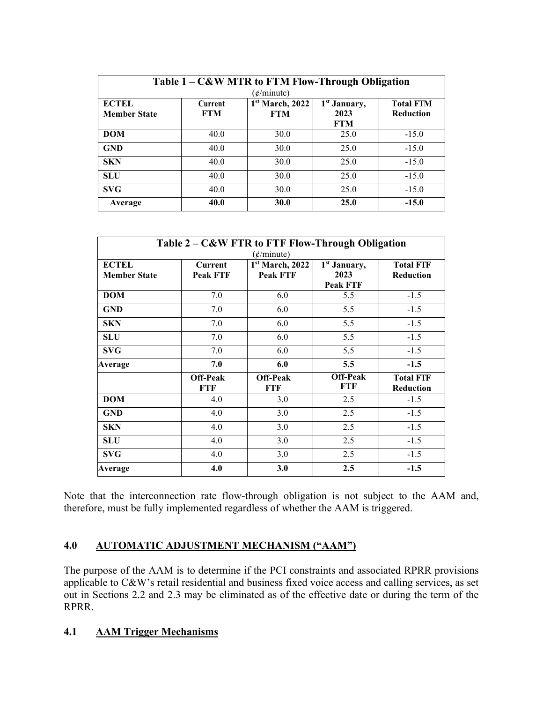| Table 1 – C&W MTR to FTM Flow-Through Obligation<br>(¢/minute) |                              |                                           |                                                |                                      |
|----------------------------------------------------------------|------------------------------|-------------------------------------------|------------------------------------------------|--------------------------------------|
| <b>ECTEL</b><br><b>Member State</b>                            | <b>Current</b><br><b>FTM</b> | 1 <sup>st</sup> March, 2022<br><b>FTM</b> | 1 <sup>st</sup> January,<br>2023<br><b>FTM</b> | <b>Total FTM</b><br><b>Reduction</b> |
| <b>DOM</b>                                                     | 40.0                         | 30.0                                      | 25.0                                           | $-15.0$                              |
| <b>GND</b>                                                     | 40.0                         | 30.0                                      | 25.0                                           | $-15.0$                              |
| <b>SKN</b>                                                     | 40.0                         | 30.0                                      | 25.0                                           | $-15.0$                              |
| <b>SLU</b>                                                     | 40.0                         | 30.0                                      | 25.0                                           | $-15.0$                              |
| <b>SVG</b>                                                     | 40.0                         | 30.0                                      | 25.0                                           | $-15.0$                              |
| Average                                                        | 40.0                         | 30.0                                      | 25.0                                           | $-15.0$                              |

| Table 2 – C&W FTR to FTF Flow-Through Obligation<br>$(\phi/minute)$ |                            |                                                |                                                     |                                      |
|---------------------------------------------------------------------|----------------------------|------------------------------------------------|-----------------------------------------------------|--------------------------------------|
| <b>ECTEL</b><br><b>Member State</b>                                 | Current<br><b>Peak FTF</b> | 1 <sup>st</sup> March, 2022<br><b>Peak FTF</b> | 1 <sup>st</sup> January,<br>2023<br><b>Peak FTF</b> | <b>Total FTF</b><br><b>Reduction</b> |
| <b>DOM</b>                                                          | 7.0                        | 6.0                                            | 5.5                                                 | $-1.5$                               |
| <b>GND</b>                                                          | 7.0                        | 6.0                                            | 5.5                                                 | $-1.5$                               |
| <b>SKN</b>                                                          | 7.0                        | 6.0                                            | 5.5                                                 | $-1.5$                               |
| <b>SLU</b>                                                          | 7.0                        | 6.0                                            | 5.5                                                 | $-1.5$                               |
| <b>SVG</b>                                                          | 7.0                        | 6.0                                            | 5.5                                                 | $-1.5$                               |
| Average                                                             | 7.0                        | 6.0                                            | 5.5                                                 | $-1.5$                               |
|                                                                     | <b>Off-Peak</b><br>FTF     | <b>Off-Peak</b><br><b>FTF</b>                  | <b>Off-Peak</b><br>FTF                              | <b>Total FTF</b><br><b>Reduction</b> |
| <b>DOM</b>                                                          | 4.0                        | 3.0                                            | 2.5                                                 | $-1.5$                               |
| <b>GND</b>                                                          | 4.0                        | 3.0                                            | 2.5                                                 | $-1.5$                               |
| <b>SKN</b>                                                          | 4.0                        | 3.0                                            | 2.5                                                 | $-1.5$                               |
| <b>SLU</b>                                                          | 4.0                        | 3.0                                            | 2.5                                                 | $-1.5$                               |
| <b>SVG</b>                                                          | 4.0                        | 3.0                                            | 2.5                                                 | $-1.5$                               |
| Average                                                             | 4.0                        | 3.0                                            | 2.5                                                 | $-1.5$                               |

Note that the interconnection rate flow-through obligation is not subject to the AAM and, therefore, must be fully implemented regardless of whether the AAM is triggered.

## **4.0 AUTOMATIC ADJUSTMENT MECHANISM ("AAM")**

The purpose of the AAM is to determine if the PCI constraints and associated RPRR provisions applicable to C&W's retail residential and business fixed voice access and calling services, as set out in Sections 2.2 and 2.3 may be eliminated as of the effective date or during the term of the RPRR.

# **4.1 AAM Trigger Mechanisms**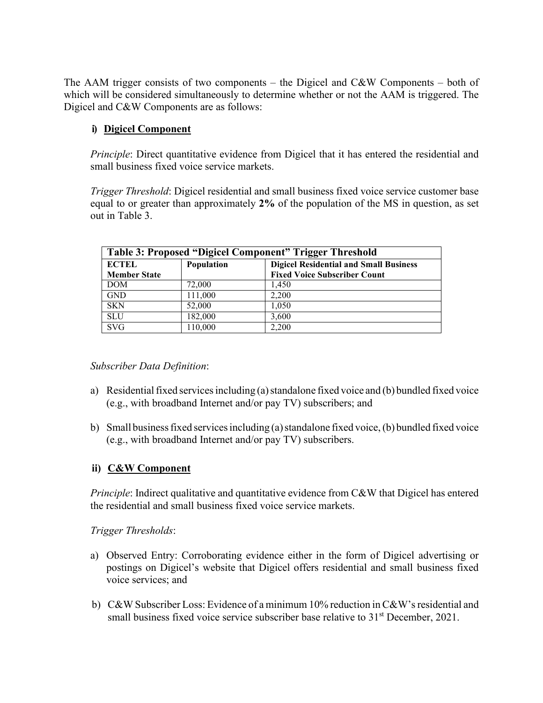The AAM trigger consists of two components – the Digicel and C&W Components – both of which will be considered simultaneously to determine whether or not the AAM is triggered. The Digicel and C&W Components are as follows:

## **i) Digicel Component**

*Principle*: Direct quantitative evidence from Digicel that it has entered the residential and small business fixed voice service markets.

*Trigger Threshold*: Digicel residential and small business fixed voice service customer base equal to or greater than approximately **2%** of the population of the MS in question, as set out in Table 3.

| Table 3: Proposed "Digicel Component" Trigger Threshold |            |                                                                                      |
|---------------------------------------------------------|------------|--------------------------------------------------------------------------------------|
| <b>ECTEL</b><br><b>Member State</b>                     | Population | <b>Digicel Residential and Small Business</b><br><b>Fixed Voice Subscriber Count</b> |
| <b>DOM</b>                                              | 72,000     | 1.450                                                                                |
| <b>GND</b>                                              | 111,000    | 2,200                                                                                |
| <b>SKN</b>                                              | 52,000     | 1.050                                                                                |
| <b>SLU</b>                                              | 182,000    | 3,600                                                                                |
| <b>SVG</b>                                              | 110,000    | 2,200                                                                                |

## *Subscriber Data Definition*:

- a) Residential fixed services including (a) standalone fixed voice and (b) bundled fixed voice (e.g., with broadband Internet and/or pay TV) subscribers; and
- b) Small business fixed services including (a) standalone fixed voice, (b) bundled fixed voice (e.g., with broadband Internet and/or pay TV) subscribers.

## **ii) C&W Component**

*Principle*: Indirect qualitative and quantitative evidence from C&W that Digicel has entered the residential and small business fixed voice service markets.

#### *Trigger Thresholds*:

- a) Observed Entry: Corroborating evidence either in the form of Digicel advertising or postings on Digicel's website that Digicel offers residential and small business fixed voice services; and
- b) C&W Subscriber Loss: Evidence of a minimum 10% reduction in C&W's residential and small business fixed voice service subscriber base relative to  $31<sup>st</sup>$  December, 2021.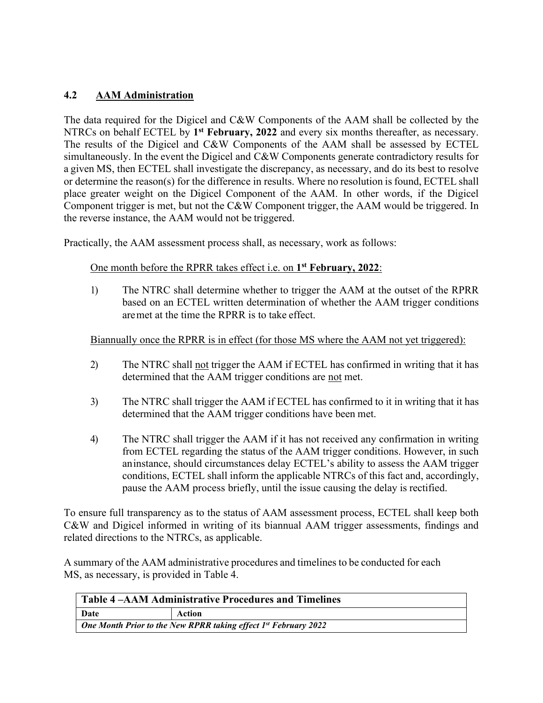## **4.2 AAM Administration**

The data required for the Digicel and C&W Components of the AAM shall be collected by the NTRCs on behalf ECTEL by **1st February, 2022** and every six months thereafter, as necessary. The results of the Digicel and C&W Components of the AAM shall be assessed by ECTEL simultaneously. In the event the Digicel and C&W Components generate contradictory results for a given MS, then ECTEL shall investigate the discrepancy, as necessary, and do its best to resolve or determine the reason(s) for the difference in results. Where no resolution isfound, ECTEL shall place greater weight on the Digicel Component of the AAM. In other words, if the Digicel Component trigger is met, but not the C&W Component trigger, the AAM would be triggered. In the reverse instance, the AAM would not be triggered.

Practically, the AAM assessment process shall, as necessary, work as follows:

#### One month before the RPRR takes effect i.e. on **1st February, 2022**:

1) The NTRC shall determine whether to trigger the AAM at the outset of the RPRR based on an ECTEL written determination of whether the AAM trigger conditions aremet at the time the RPRR is to take effect.

## Biannually once the RPRR is in effect (for those MS where the AAM not yet triggered):

- 2) The NTRC shall not trigger the AAM if ECTEL has confirmed in writing that it has determined that the AAM trigger conditions are not met.
- 3) The NTRC shall trigger the AAM if ECTEL has confirmed to it in writing that it has determined that the AAM trigger conditions have been met.
- 4) The NTRC shall trigger the AAM if it has not received any confirmation in writing from ECTEL regarding the status of the AAM trigger conditions. However, in such aninstance, should circumstances delay ECTEL's ability to assess the AAM trigger conditions, ECTEL shall inform the applicable NTRCs of this fact and, accordingly, pause the AAM process briefly, until the issue causing the delay is rectified.

To ensure full transparency as to the status of AAM assessment process, ECTEL shall keep both C&W and Digicel informed in writing of its biannual AAM trigger assessments, findings and related directions to the NTRCs, as applicable.

A summary of the AAM administrative procedures and timelines to be conducted for each MS, as necessary, is provided in Table 4.

| Table 4 – AAM Administrative Procedures and Timelines                |        |  |
|----------------------------------------------------------------------|--------|--|
| Date                                                                 | Action |  |
| One Month Prior to the New RPRR taking effect $1^{st}$ February 2022 |        |  |